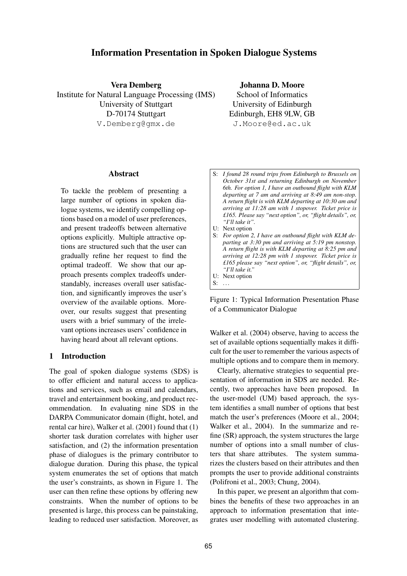# **Information Presentation in Spoken Dialogue Systems**

**Vera Demberg**

Institute for Natural Language Processing (IMS) University of Stuttgart D-70174 Stuttgart V.Demberg@gmx.de

**Johanna D. Moore**

School of Informatics University of Edinburgh Edinburgh, EH8 9LW, GB J.Moore@ed.ac.uk

### **Abstract**

To tackle the problem of presenting a large number of options in spoken dialogue systems, we identify compelling options based on a model of user preferences, and present tradeoffs between alternative options explicitly. Multiple attractive options are structured such that the user can gradually refine her request to find the optimal tradeoff. We show that our approach presents complex tradeoffs understandably, increases overall user satisfaction, and significantly improves the user's overview of the available options. Moreover, our results suggest that presenting users with a brief summary of the irrelevant options increases users' confidence in having heard about all relevant options.

### **1 Introduction**

The goal of spoken dialogue systems (SDS) is to offer efficient and natural access to applications and services, such as email and calendars, travel and entertainment booking, and product recommendation. In evaluating nine SDS in the DARPA Communicator domain (flight, hotel, and rental car hire), Walker et al. (2001) found that (1) shorter task duration correlates with higher user satisfaction, and (2) the information presentation phase of dialogues is the primary contributor to dialogue duration. During this phase, the typical system enumerates the set of options that match the user's constraints, as shown in Figure 1. The user can then refine these options by offering new constraints. When the number of options to be presented is large, this process can be painstaking, leading to reduced user satisfaction. Moreover, as

| $S$ : | I found 28 round trips from Edinburgh to Brussels on      |
|-------|-----------------------------------------------------------|
|       | October 31st and returning Edinburgh on November          |
|       | 6th. For option 1, I have an outbound flight with KLM     |
|       | departing at 7 am and arriving at 8:49 am non-stop.       |
|       | A return flight is with KLM departing at 10:30 am and     |
|       | arriving at 11:28 am with 1 stopover. Ticket price is     |
|       | £165. Please say "next option", or, "flight details", or, |
|       | "I'll take it".                                           |
|       | U: Next option                                            |
| S:    | For option 2, I have an outbound flight with KLM de-      |
|       | parting at 3:30 pm and arriving at 5:19 pm nonstop.       |
|       | A return flight is with KLM departing at 8:25 pm and      |
|       | arriving at 12:28 pm with 1 stopover. Ticket price is     |
|       | £165 please say "next option", or, "flight details", or,  |
|       | "I'll take it."                                           |
|       | U: Next option                                            |
|       |                                                           |
|       |                                                           |

Figure 1: Typical Information Presentation Phase of a Communicator Dialogue

Walker et al. (2004) observe, having to access the set of available options sequentially makes it difficult for the user to remember the various aspects of multiple options and to compare them in memory.

Clearly, alternative strategies to sequential presentation of information in SDS are needed. Recently, two approaches have been proposed. In the user-model (UM) based approach, the system identifies a small number of options that best match the user's preferences (Moore et al., 2004; Walker et al., 2004). In the summarize and refine (SR) approach, the system structures the large number of options into a small number of clusters that share attributes. The system summarizes the clusters based on their attributes and then prompts the user to provide additional constraints (Polifroni et al., 2003; Chung, 2004).

In this paper, we present an algorithm that combines the benefits of these two approaches in an approach to information presentation that integrates user modelling with automated clustering.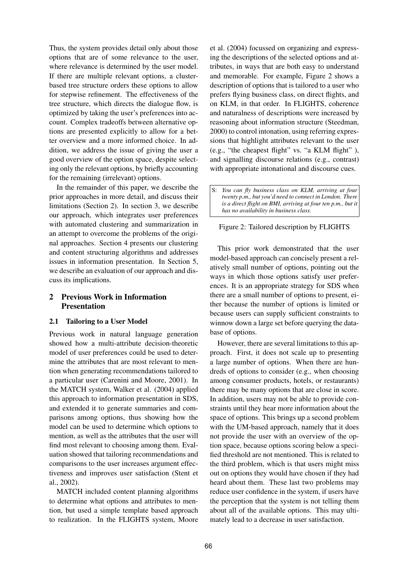Thus, the system provides detail only about those options that are of some relevance to the user, where relevance is determined by the user model. If there are multiple relevant options, a clusterbased tree structure orders these options to allow for stepwise refinement. The effectiveness of the tree structure, which directs the dialogue flow, is optimized by taking the user's preferences into account. Complex tradeoffs between alternative options are presented explicitly to allow for a better overview and a more informed choice. In addition, we address the issue of giving the user a good overview of the option space, despite selecting only the relevant options, by briefly accounting for the remaining (irrelevant) options.

In the remainder of this paper, we describe the prior approaches in more detail, and discuss their limitations (Section 2). In section 3, we describe our approach, which integrates user preferences with automated clustering and summarization in an attempt to overcome the problems of the original approaches. Section 4 presents our clustering and content structuring algorithms and addresses issues in information presentation. In Section 5, we describe an evaluation of our approach and discuss its implications.

## **2 Previous Work in Information Presentation**

### **2.1 Tailoring to a User Model**

Previous work in natural language generation showed how a multi-attribute decision-theoretic model of user preferences could be used to determine the attributes that are most relevant to mention when generating recommendations tailored to a particular user (Carenini and Moore, 2001). In the MATCH system, Walker et al. (2004) applied this approach to information presentation in SDS, and extended it to generate summaries and comparisons among options, thus showing how the model can be used to determine which options to mention, as well as the attributes that the user will find most relevant to choosing among them. Evaluation showed that tailoring recommendations and comparisons to the user increases argument effectiveness and improves user satisfaction (Stent et al., 2002).

MATCH included content planning algorithms to determine what options and attributes to mention, but used a simple template based approach to realization. In the FLIGHTS system, Moore

et al. (2004) focussed on organizing and expressing the descriptions of the selected options and attributes, in ways that are both easy to understand and memorable. For example, Figure 2 shows a description of options that is tailored to a user who prefers flying business class, on direct flights, and on KLM, in that order. In FLIGHTS, coherence and naturalness of descriptions were increased by reasoning about information structure (Steedman, 2000) to control intonation, using referring expressions that highlight attributes relevant to the user (e.g., "the cheapest flight" vs. "a KLM flight" ), and signalling discourse relations (e.g., contrast) with appropriate intonational and discourse cues.

### Figure 2: Tailored description by FLIGHTS

This prior work demonstrated that the user model-based approach can concisely present a relatively small number of options, pointing out the ways in which those options satisfy user preferences. It is an appropriate strategy for SDS when there are a small number of options to present, either because the number of options is limited or because users can supply sufficient constraints to winnow down a large set before querying the database of options.

However, there are several limitations to this approach. First, it does not scale up to presenting a large number of options. When there are hundreds of options to consider (e.g., when choosing among consumer products, hotels, or restaurants) there may be many options that are close in score. In addition, users may not be able to provide constraints until they hear more information about the space of options. This brings up a second problem with the UM-based approach, namely that it does not provide the user with an overview of the option space, because options scoring below a specified threshold are not mentioned. This is related to the third problem, which is that users might miss out on options they would have chosen if they had heard about them. These last two problems may reduce user confidence in the system, if users have the perception that the system is not telling them about all of the available options. This may ultimately lead to a decrease in user satisfaction.

S: *You can fly business class on KLM, arriving at four twenty p.m., but you'd need to connect in London. There is a direct flight on BMI, arriving at four ten p.m., but it has no availability in business class.*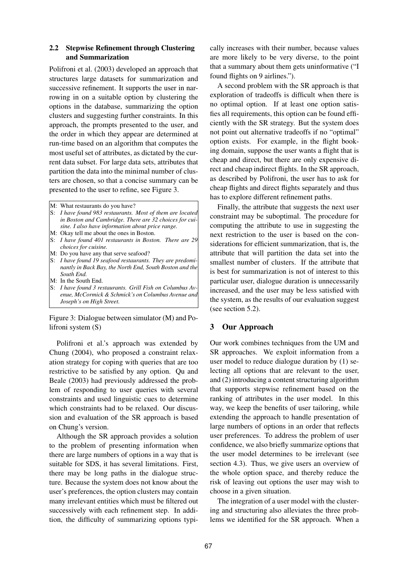## **2.2 Stepwise Refinement through Clustering and Summarization**

Polifroni et al. (2003) developed an approach that structures large datasets for summarization and successive refinement. It supports the user in narrowing in on a suitable option by clustering the options in the database, summarizing the option clusters and suggesting further constraints. In this approach, the prompts presented to the user, and the order in which they appear are determined at run-time based on an algorithm that computes the most useful set of attributes, as dictated by the current data subset. For large data sets, attributes that partition the data into the minimal number of clusters are chosen, so that a concise summary can be presented to the user to refine, see Figure 3.

- S: *I have found 19 seafood restaurants. They are predominantly in Back Bay, the North End, South Boston and the South End.*
- M: In the South End.
- S: *I have found 3 restaurants. Grill Fish on Columbus Avenue, McCormick & Schmick's on Columbus Avenue and Joseph's on High Street.*

Figure 3: Dialogue between simulator (M) and Polifroni system (S)

Polifroni et al.'s approach was extended by Chung (2004), who proposed a constraint relaxation strategy for coping with queries that are too restrictive to be satisfied by any option. Qu and Beale (2003) had previously addressed the problem of responding to user queries with several constraints and used linguistic cues to determine which constraints had to be relaxed. Our discussion and evaluation of the SR approach is based on Chung's version.

Although the SR approach provides a solution to the problem of presenting information when there are large numbers of options in a way that is suitable for SDS, it has several limitations. First, there may be long paths in the dialogue structure. Because the system does not know about the user's preferences, the option clusters may contain many irrelevant entities which must be filtered out successively with each refinement step. In addition, the difficulty of summarizing options typically increases with their number, because values are more likely to be very diverse, to the point that a summary about them gets uninformative ("I found flights on 9 airlines.").

A second problem with the SR approach is that exploration of tradeoffs is difficult when there is no optimal option. If at least one option satisfies all requirements, this option can be found efficiently with the SR strategy. But the system does not point out alternative tradeoffs if no "optimal" option exists. For example, in the flight booking domain, suppose the user wants a flight that is cheap and direct, but there are only expensive direct and cheap indirect flights. In the SR approach, as described by Polifroni, the user has to ask for cheap flights and direct flights separately and thus has to explore different refinement paths.

Finally, the attribute that suggests the next user constraint may be suboptimal. The procedure for computing the attribute to use in suggesting the next restriction to the user is based on the considerations for efficient summarization, that is, the attribute that will partition the data set into the smallest number of clusters. If the attribute that is best for summarization is not of interest to this particular user, dialogue duration is unnecessarily increased, and the user may be less satisfied with the system, as the results of our evaluation suggest (see section 5.2).

### **3 Our Approach**

Our work combines techniques from the UM and SR approaches. We exploit information from a user model to reduce dialogue duration by (1) selecting all options that are relevant to the user, and (2) introducing a content structuring algorithm that supports stepwise refinement based on the ranking of attributes in the user model. In this way, we keep the benefits of user tailoring, while extending the approach to handle presentation of large numbers of options in an order that reflects user preferences. To address the problem of user confidence, we also briefly summarize options that the user model determines to be irrelevant (see section 4.3). Thus, we give users an overview of the whole option space, and thereby reduce the risk of leaving out options the user may wish to choose in a given situation.

The integration of a user model with the clustering and structuring also alleviates the three problems we identified for the SR approach. When a

M: What restaurants do you have?

S: *I have found 983 restaurants. Most of them are located in Boston and Cambridge. There are 32 choices for cuisine. I also have information about price range.*

M: Okay tell me about the ones in Boston.

S: *I have found 401 restaurants in Boston. There are 29 choices for cuisine.*

M: Do you have any that serve seafood?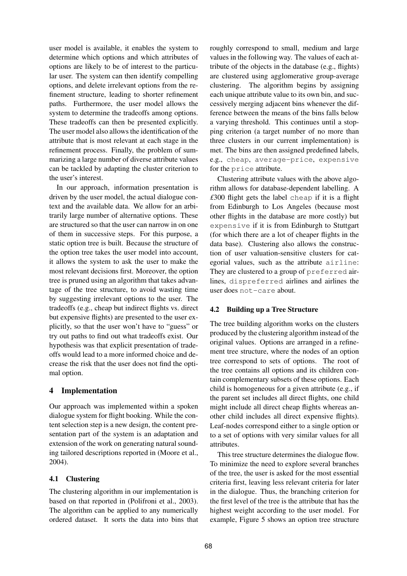user model is available, it enables the system to determine which options and which attributes of options are likely to be of interest to the particular user. The system can then identify compelling options, and delete irrelevant options from the refinement structure, leading to shorter refinement paths. Furthermore, the user model allows the system to determine the tradeoffs among options. These tradeoffs can then be presented explicitly. The user model also allows the identification of the attribute that is most relevant at each stage in the refinement process. Finally, the problem of summarizing a large number of diverse attribute values can be tackled by adapting the cluster criterion to the user's interest.

In our approach, information presentation is driven by the user model, the actual dialogue context and the available data. We allow for an arbitrarily large number of alternative options. These are structured so that the user can narrow in on one of them in successive steps. For this purpose, a static option tree is built. Because the structure of the option tree takes the user model into account, it allows the system to ask the user to make the most relevant decisions first. Moreover, the option tree is pruned using an algorithm that takes advantage of the tree structure, to avoid wasting time by suggesting irrelevant options to the user. The tradeoffs (e.g., cheap but indirect flights vs. direct but expensive flights) are presented to the user explicitly, so that the user won't have to "guess" or try out paths to find out what tradeoffs exist. Our hypothesis was that explicit presentation of tradeoffs would lead to a more informed choice and decrease the risk that the user does not find the optimal option.

### **4 Implementation**

Our approach was implemented within a spoken dialogue system for flight booking. While the content selection step is a new design, the content presentation part of the system is an adaptation and extension of the work on generating natural sounding tailored descriptions reported in (Moore et al., 2004).

### **4.1 Clustering**

The clustering algorithm in our implementation is based on that reported in (Polifroni et al., 2003). The algorithm can be applied to any numerically ordered dataset. It sorts the data into bins that

roughly correspond to small, medium and large values in the following way. The values of each attribute of the objects in the database (e.g., flights) are clustered using agglomerative group-average clustering. The algorithm begins by assigning each unique attribute value to its own bin, and successively merging adjacent bins whenever the difference between the means of the bins falls below a varying threshold. This continues until a stopping criterion (a target number of no more than three clusters in our current implementation) is met. The bins are then assigned predefined labels, e.g., cheap, average-price, expensive for the price attribute.

Clustering attribute values with the above algorithm allows for database-dependent labelling. A *£*300 flight gets the label cheap if it is a flight from Edinburgh to Los Angeles (because most other flights in the database are more costly) but expensive if it is from Edinburgh to Stuttgart (for which there are a lot of cheaper flights in the data base). Clustering also allows the construction of user valuation-sensitive clusters for categorial values, such as the attribute airline: They are clustered to a group of preferred airlines, dispreferred airlines and airlines the user does not-care about.

### **4.2 Building up a Tree Structure**

The tree building algorithm works on the clusters produced by the clustering algorithm instead of the original values. Options are arranged in a refinement tree structure, where the nodes of an option tree correspond to sets of options. The root of the tree contains all options and its children contain complementary subsets of these options. Each child is homogeneous for a given attribute (e.g., if the parent set includes all direct flights, one child might include all direct cheap flights whereas another child includes all direct expensive flights). Leaf-nodes correspond either to a single option or to a set of options with very similar values for all attributes.

This tree structure determines the dialogue flow. To minimize the need to explore several branches of the tree, the user is asked for the most essential criteria first, leaving less relevant criteria for later in the dialogue. Thus, the branching criterion for the first level of the tree is the attribute that has the highest weight according to the user model. For example, Figure 5 shows an option tree structure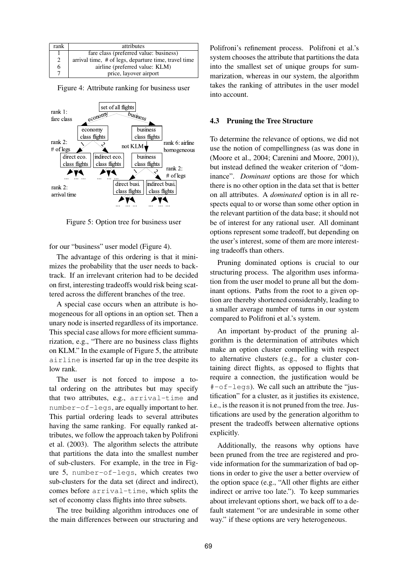| rank | attributes                                           |
|------|------------------------------------------------------|
|      | fare class (preferred value: business)               |
| 2    | arrival time, # of legs, departure time, travel time |
| 6    | airline (preferred value: KLM)                       |
|      | price, layover airport                               |

Figure 4: Attribute ranking for business user



Figure 5: Option tree for business user

for our "business" user model (Figure 4).

The advantage of this ordering is that it minimizes the probability that the user needs to backtrack. If an irrelevant criterion had to be decided on first, interesting tradeoffs would risk being scattered across the different branches of the tree.

A special case occurs when an attribute is homogeneous for all options in an option set. Then a unary node is inserted regardless of its importance. This special case allows for more efficient summarization, e.g., "There are no business class flights on KLM." In the example of Figure 5, the attribute airline is inserted far up in the tree despite its low rank.

The user is not forced to impose a total ordering on the attributes but may specify that two attributes, e.g., arrival-time and number-of-legs, are equally important to her. This partial ordering leads to several attributes having the same ranking. For equally ranked attributes, we follow the approach taken by Polifroni et al. (2003). The algorithm selects the attribute that partitions the data into the smallest number of sub-clusters. For example, in the tree in Figure 5, number-of-legs, which creates two sub-clusters for the data set (direct and indirect), comes before arrival-time, which splits the set of economy class flights into three subsets.

The tree building algorithm introduces one of the main differences between our structuring and

Polifroni's refinement process. Polifroni et al.'s system chooses the attribute that partitions the data into the smallest set of unique groups for summarization, whereas in our system, the algorithm takes the ranking of attributes in the user model into account.

#### **4.3 Pruning the Tree Structure**

To determine the relevance of options, we did not use the notion of compellingness (as was done in (Moore et al., 2004; Carenini and Moore, 2001)), but instead defined the weaker criterion of "dominance". *Dominant* options are those for which there is no other option in the data set that is better on all attributes. A *dominated* option is in all respects equal to or worse than some other option in the relevant partition of the data base; it should not be of interest for any rational user. All dominant options represent some tradeoff, but depending on the user's interest, some of them are more interesting tradeoffs than others.

Pruning dominated options is crucial to our structuring process. The algorithm uses information from the user model to prune all but the dominant options. Paths from the root to a given option are thereby shortened considerably, leading to a smaller average number of turns in our system compared to Polifroni et al.'s system.

An important by-product of the pruning algorithm is the determination of attributes which make an option cluster compelling with respect to alternative clusters (e.g., for a cluster containing direct flights, as opposed to flights that require a connection, the justification would be #-of-legs). We call such an attribute the "justification" for a cluster, as it justifies its existence, i.e., is the reason it is not pruned from the tree. Justifications are used by the generation algorithm to present the tradeoffs between alternative options explicitly.

Additionally, the reasons why options have been pruned from the tree are registered and provide information for the summarization of bad options in order to give the user a better overview of the option space (e.g., "All other flights are either indirect or arrive too late."). To keep summaries about irrelevant options short, we back off to a default statement "or are undesirable in some other way." if these options are very heterogeneous.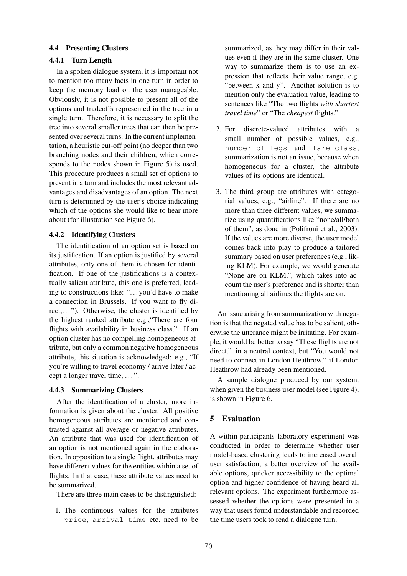### **4.4 Presenting Clusters**

### **4.4.1 Turn Length**

In a spoken dialogue system, it is important not to mention too many facts in one turn in order to keep the memory load on the user manageable. Obviously, it is not possible to present all of the options and tradeoffs represented in the tree in a single turn. Therefore, it is necessary to split the tree into several smaller trees that can then be presented over several turns. In the current implementation, a heuristic cut-off point (no deeper than two branching nodes and their children, which corresponds to the nodes shown in Figure 5) is used. This procedure produces a small set of options to present in a turn and includes the most relevant advantages and disadvantages of an option. The next turn is determined by the user's choice indicating which of the options she would like to hear more about (for illustration see Figure 6).

### **4.4.2 Identifying Clusters**

The identification of an option set is based on its justification. If an option is justified by several attributes, only one of them is chosen for identification. If one of the justifications is a contextually salient attribute, this one is preferred, leading to constructions like: "...you'd have to make a connection in Brussels. If you want to fly direct,..."). Otherwise, the cluster is identified by the highest ranked attribute e.g.,"There are four flights with availability in business class.". If an option cluster has no compelling homogeneous attribute, but only a common negative homogeneous attribute, this situation is acknowledged: e.g., "If you're willing to travel economy / arrive later / accept a longer travel time, . . . ".

### **4.4.3 Summarizing Clusters**

After the identification of a cluster, more information is given about the cluster. All positive homogeneous attributes are mentioned and contrasted against all average or negative attributes. An attribute that was used for identification of an option is not mentioned again in the elaboration. In opposition to a single flight, attributes may have different values for the entities within a set of flights. In that case, these attribute values need to be summarized.

There are three main cases to be distinguished:

1. The continuous values for the attributes price, arrival-time etc. need to be summarized, as they may differ in their values even if they are in the same cluster. One way to summarize them is to use an expression that reflects their value range, e.g. "between x and y". Another solution is to mention only the evaluation value, leading to sentences like "The two flights *with shortest travel time*" or "The *cheapest* flights."

- 2. For discrete-valued attributes with a small number of possible values, e.g., number-of-legs and fare-class, summarization is not an issue, because when homogeneous for a cluster, the attribute values of its options are identical.
- 3. The third group are attributes with categorial values, e.g., "airline". If there are no more than three different values, we summarize using quantifications like "none/all/both of them", as done in (Polifroni et al., 2003). If the values are more diverse, the user model comes back into play to produce a tailored summary based on user preferences (e.g., liking KLM). For example, we would generate "None are on KLM.", which takes into account the user's preference and is shorter than mentioning all airlines the flights are on.

An issue arising from summarization with negation is that the negated value has to be salient, otherwise the utterance might be irritating. For example, it would be better to say "These flights are not direct." in a neutral context, but "You would not need to connect in London Heathrow." if London Heathrow had already been mentioned.

A sample dialogue produced by our system, when given the business user model (see Figure 4), is shown in Figure 6.

## **5 Evaluation**

A within-participants laboratory experiment was conducted in order to determine whether user model-based clustering leads to increased overall user satisfaction, a better overview of the available options, quicker accessibility to the optimal option and higher confidence of having heard all relevant options. The experiment furthermore assessed whether the options were presented in a way that users found understandable and recorded the time users took to read a dialogue turn.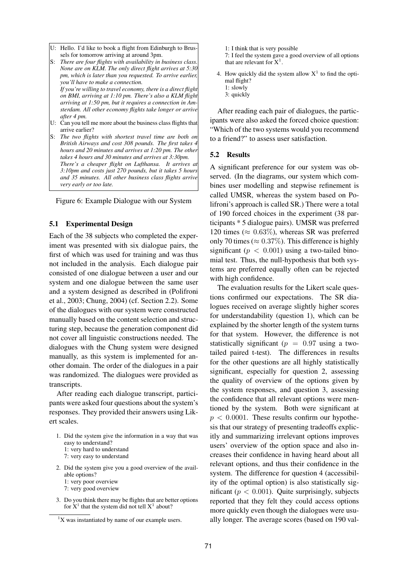- U: Hello. I'd like to book a flight from Edinburgh to Brussels for tomorrow arriving at around 3pm.
- S: *There are four flights with availability in business class. None are on KLM. The only direct flight arrives at 5:30 pm, which is later than you requested. To arrive earlier, you'll have to make a connection. If you're willing to travel economy, there is a direct flight on BMI, arriving at 1:10 pm. There's also a KLM flight arriving at 1:50 pm, but it requires a connection in Amsterdam. All other economy flights take longer or arrive after 4 pm.* U: Can you tell me more about the business class flights that
- arrive earlier?
- S: *The two flights with shortest travel time are both on British Airways and cost 308 pounds. The first takes 4 hours and 20 minutes and arrives at 1:20 pm. The other takes 4 hours and 30 minutes and arrives at 3:30pm. There's a cheaper flight on Lufthansa. It arrives at 3:10pm and costs just 270 pounds, but it takes 5 hours and 35 minutes. All other business class flights arrive very early or too late.*

Figure 6: Example Dialogue with our System

#### **5.1 Experimental Design**

Each of the 38 subjects who completed the experiment was presented with six dialogue pairs, the first of which was used for training and was thus not included in the analysis. Each dialogue pair consisted of one dialogue between a user and our system and one dialogue between the same user and a system designed as described in (Polifroni et al., 2003; Chung, 2004) (cf. Section 2.2). Some of the dialogues with our system were constructed manually based on the content selection and structuring step, because the generation component did not cover all linguistic constructions needed. The dialogues with the Chung system were designed manually, as this system is implemented for another domain. The order of the dialogues in a pair was randomized. The dialogues were provided as transcripts.

After reading each dialogue transcript, participants were asked four questions about the system's responses. They provided their answers using Likert scales.

- 1. Did the system give the information in a way that was easy to understand? 1: very hard to understand 7: very easy to understand
- 2. Did the system give you a good overview of the available options?
	- 1: very poor overview
	- 7: very good overview
- 3. Do you think there may be flights that are better options for  $X^1$  that the system did not tell  $X^1$  about?
- 1: I think that is very possible
- 7: I feel the system gave a good overview of all options that are relevant for  $X^1$ .
- 4. How quickly did the system allow  $X<sup>1</sup>$  to find the optimal flight?
	- 1: slowly
	- 3: quickly

After reading each pair of dialogues, the participants were also asked the forced choice question: "Which of the two systems would you recommend to a friend?" to assess user satisfaction.

#### **5.2 Results**

A significant preference for our system was observed. (In the diagrams, our system which combines user modelling and stepwise refinement is called UMSR, whereas the system based on Polifroni's approach is called SR.) There were a total of 190 forced choices in the experiment (38 participants \* 5 dialogue pairs). UMSR was preferred 120 times ( $\approx 0.63\%$ ), whereas SR was preferred only 70 times ( $\approx 0.37\%$ ). This difference is highly significant ( $p < 0.001$ ) using a two-tailed binomial test. Thus, the null-hypothesis that both systems are preferred equally often can be rejected with high confidence.

The evaluation results for the Likert scale questions confirmed our expectations. The SR dialogues received on average slightly higher scores for understandability (question 1), which can be explained by the shorter length of the system turns for that system. However, the difference is not statistically significant ( $p = 0.97$  using a twotailed paired t-test). The differences in results for the other questions are all highly statistically significant, especially for question 2, assessing the quality of overview of the options given by the system responses, and question 3, assessing the confidence that all relevant options were mentioned by the system. Both were significant at  $p < 0.0001$ . These results confirm our hypothesis that our strategy of presenting tradeoffs explicitly and summarizing irrelevant options improves users' overview of the option space and also increases their confidence in having heard about all relevant options, and thus their confidence in the system. The difference for question 4 (accessibility of the optimal option) is also statistically significant ( $p < 0.001$ ). Quite surprisingly, subjects reported that they felt they could access options more quickly even though the dialogues were usually longer. The average scores (based on 190 val-

 ${}^{1}X$  was instantiated by name of our example users.